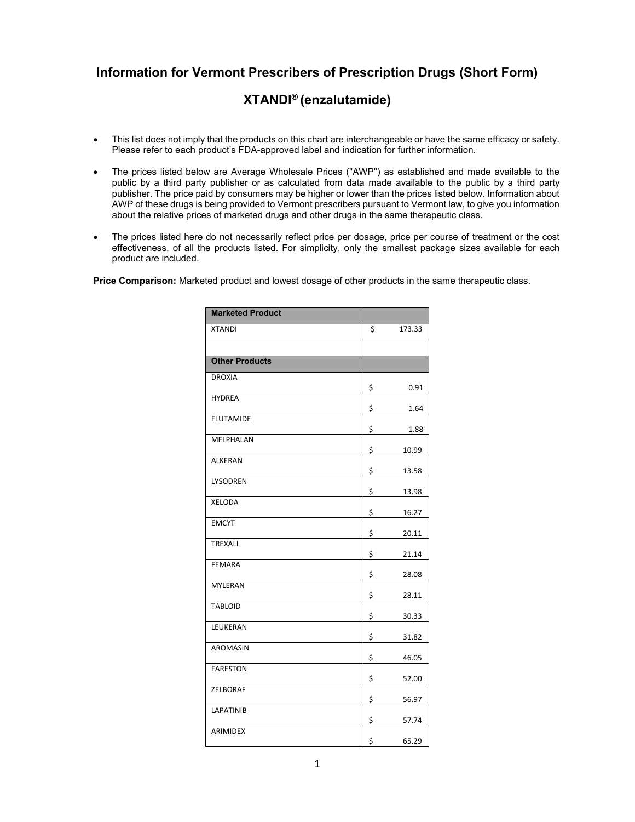## **Information for Vermont Prescribers of Prescription Drugs (Short Form)**

## **XTANDI® (enzalutamide)**

- This list does not imply that the products on this chart are interchangeable or have the same efficacy or safety. Please refer to each product's FDA-approved label and indication for further information.
- The prices listed below are Average Wholesale Prices ("AWP") as established and made available to the public by a third party publisher or as calculated from data made available to the public by a third party publisher. The price paid by consumers may be higher or lower than the prices listed below. Information about AWP of these drugs is being provided to Vermont prescribers pursuant to Vermont law, to give you information about the relative prices of marketed drugs and other drugs in the same therapeutic class.
- The prices listed here do not necessarily reflect price per dosage, price per course of treatment or the cost effectiveness, of all the products listed. For simplicity, only the smallest package sizes available for each product are included.

**Price Comparison:** Marketed product and lowest dosage of other products in the same therapeutic class.

| <b>Marketed Product</b> |              |
|-------------------------|--------------|
| <b>XTANDI</b>           | \$<br>173.33 |
|                         |              |
| <b>Other Products</b>   |              |
| <b>DROXIA</b>           | \$<br>0.91   |
| <b>HYDREA</b>           | \$<br>1.64   |
| <b>FLUTAMIDE</b>        | \$<br>1.88   |
| MELPHALAN               | \$<br>10.99  |
| ALKERAN                 | \$<br>13.58  |
| LYSODREN                | \$<br>13.98  |
| XELODA                  | \$<br>16.27  |
| <b>EMCYT</b>            | \$<br>20.11  |
| TREXALL                 | \$<br>21.14  |
| FEMARA                  | \$<br>28.08  |
| <b>MYLERAN</b>          | \$<br>28.11  |
| <b>TABLOID</b>          | \$<br>30.33  |
| LEUKERAN                | \$<br>31.82  |
| AROMASIN                | \$<br>46.05  |
| <b>FARESTON</b>         | \$<br>52.00  |
| <b>ZELBORAF</b>         | \$<br>56.97  |
| LAPATINIB               | \$<br>57.74  |
| ARIMIDEX                | \$<br>65.29  |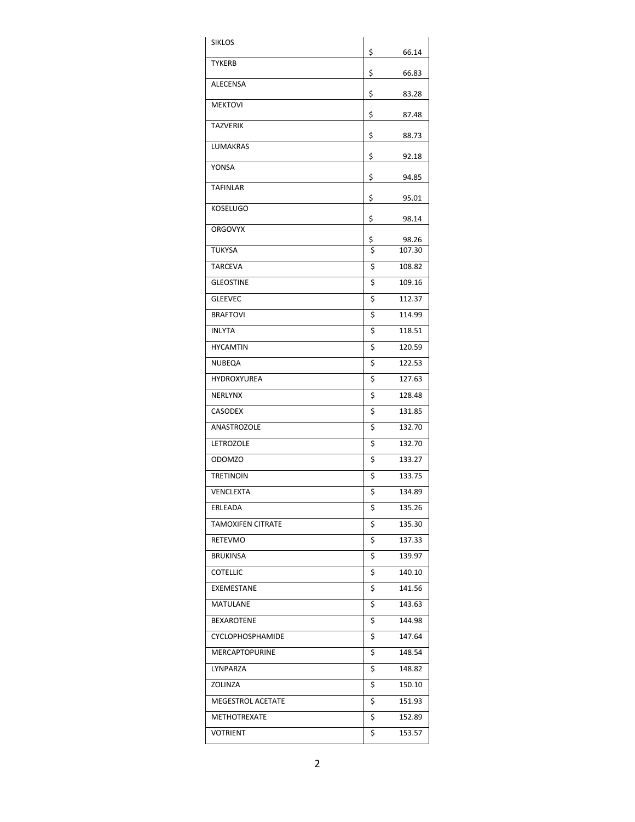| <b>SIKLOS</b>            |          |                 |
|--------------------------|----------|-----------------|
| TYKERB                   | \$       | 66.14           |
|                          | \$       | 66.83           |
| <b>ALECENSA</b>          | \$       | 83.28           |
| <b>MEKTOVI</b>           | \$       | 87.48           |
| <b>TAZVERIK</b>          | \$       | 88.73           |
| <b>LUMAKRAS</b>          |          |                 |
| YONSA                    | \$       | 92.18           |
| <b>TAFINLAR</b>          | \$       | 94.85           |
|                          | \$       | 95.01           |
| <b>KOSELUGO</b>          | \$       | 98.14           |
| <b>ORGOVYX</b>           |          |                 |
| TUKYSA                   | \$<br>\$ | 98.26<br>107.30 |
| <b>TARCEVA</b>           | \$       | 108.82          |
| <b>GLEOSTINE</b>         | \$       | 109.16          |
| <b>GLEEVEC</b>           | \$       | 112.37          |
| <b>BRAFTOVI</b>          | \$       | 114.99          |
| <b>INLYTA</b>            | \$       | 118.51          |
| <b>HYCAMTIN</b>          | \$       | 120.59          |
| NUBEQA                   | \$       | 122.53          |
| <b>HYDROXYUREA</b>       | \$       | 127.63          |
| <b>NERLYNX</b>           | \$       | 128.48          |
| CASODEX                  | \$       | 131.85          |
| ANASTROZOLE              | \$       | 132.70          |
| LETROZOLE                | \$       | 132.70          |
| ODOMZO                   | \$       | 133.27          |
| <b>TRETINOIN</b>         | \$       | 133.75          |
| VENCLEXTA                | \$       | 134.89          |
| ERLEADA                  | \$       | 135.26          |
| <b>TAMOXIFEN CITRATE</b> | \$       | 135.30          |
| RETEVMO                  | \$       | 137.33          |
| <b>BRUKINSA</b>          | \$       | 139.97          |
| <b>COTELLIC</b>          | \$       | 140.10          |
| EXEMESTANE               | \$       | 141.56          |
| MATULANE                 | \$       | 143.63          |
| BEXAROTENE               | \$       | 144.98          |
| <b>CYCLOPHOSPHAMIDE</b>  | \$       | 147.64          |
| <b>MERCAPTOPURINE</b>    | \$       | 148.54          |
| LYNPARZA                 | \$       | 148.82          |
| ZOLINZA                  | \$       | 150.10          |
| MEGESTROL ACETATE        | \$       | 151.93          |
| METHOTREXATE             | \$       | 152.89          |
| VOTRIENT                 | \$       | 153.57          |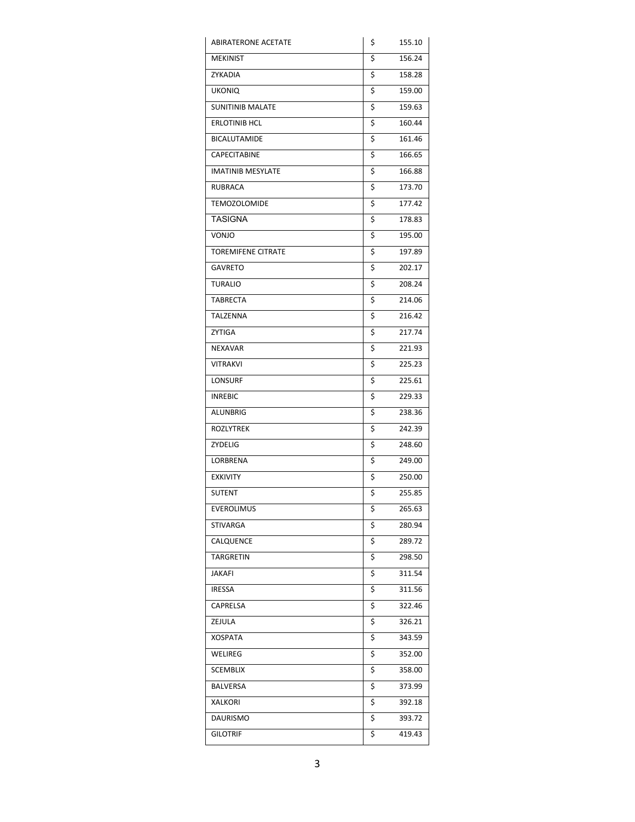| <b>ABIRATERONE ACETATE</b> | \$<br>155.10 |
|----------------------------|--------------|
| <b>MEKINIST</b>            | \$<br>156.24 |
| ZYKADIA                    | \$<br>158.28 |
| <b>UKONIQ</b>              | \$<br>159.00 |
| <b>SUNITINIB MALATE</b>    | \$<br>159.63 |
| ERLOTINIB HCL              | \$<br>160.44 |
| <b>BICALUTAMIDE</b>        | \$<br>161.46 |
| CAPECITABINE               | \$<br>166.65 |
| <b>IMATINIB MESYLATE</b>   | \$<br>166.88 |
| <b>RUBRACA</b>             | \$<br>173.70 |
| <b>TEMOZOLOMIDE</b>        | \$<br>177.42 |
| TASIGNA                    | \$<br>178.83 |
| VONJO                      | \$<br>195.00 |
| <b>TOREMIFENE CITRATE</b>  | \$<br>197.89 |
| GAVRETO                    | \$<br>202.17 |
| <b>TURALIO</b>             | \$<br>208.24 |
| <b>TABRECTA</b>            | \$<br>214.06 |
| TALZENNA                   | \$<br>216.42 |
| ZYTIGA                     | \$<br>217.74 |
| <b>NEXAVAR</b>             | \$<br>221.93 |
| VITRAKVI                   | \$<br>225.23 |
| LONSURF                    | \$<br>225.61 |
| <b>INREBIC</b>             | \$<br>229.33 |
| ALUNBRIG                   | \$<br>238.36 |
| <b>ROZLYTREK</b>           | \$<br>242.39 |
| ZYDELIG                    | \$<br>248.60 |
| LORBRENA                   | \$<br>249.00 |
| <b>EXKIVITY</b>            | \$<br>250.00 |
| SUTENT                     | \$<br>255.85 |
| <b>EVEROLIMUS</b>          | \$<br>265.63 |
| STIVARGA                   | \$<br>280.94 |
| CALQUENCE                  | \$<br>289.72 |
| TARGRETIN                  | \$<br>298.50 |
| JAKAFI                     | \$<br>311.54 |
| <b>IRESSA</b>              | \$<br>311.56 |
| CAPRELSA                   | \$<br>322.46 |
| ZEJULA                     | \$<br>326.21 |
| XOSPATA                    | \$<br>343.59 |
| WELIREG                    | \$<br>352.00 |
| SCEMBLIX                   | \$<br>358.00 |
| BALVERSA                   | \$<br>373.99 |
| XALKORI                    | \$<br>392.18 |
| DAURISMO                   | \$<br>393.72 |
| <b>GILOTRIF</b>            | \$<br>419.43 |